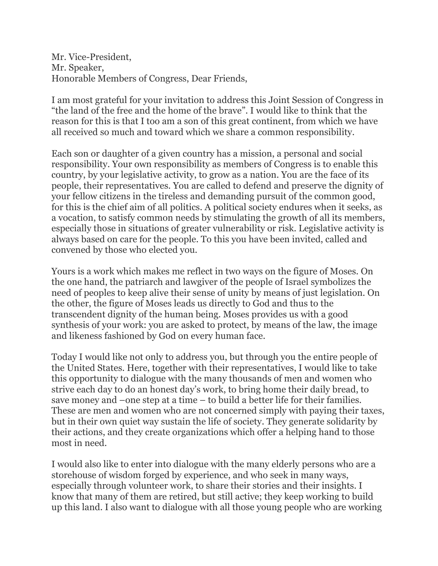Mr. Vice-President, Mr. Speaker, Honorable Members of Congress, Dear Friends,

I am most grateful for your invitation to address this Joint Session of Congress in "the land of the free and the home of the brave". I would like to think that the reason for this is that I too am a son of this great continent, from which we have all received so much and toward which we share a common responsibility.

Each son or daughter of a given country has a mission, a personal and social responsibility. Your own responsibility as members of Congress is to enable this country, by your legislative activity, to grow as a nation. You are the face of its people, their representatives. You are called to defend and preserve the dignity of your fellow citizens in the tireless and demanding pursuit of the common good, for this is the chief aim of all politics. A political society endures when it seeks, as a vocation, to satisfy common needs by stimulating the growth of all its members, especially those in situations of greater vulnerability or risk. Legislative activity is always based on care for the people. To this you have been invited, called and convened by those who elected you.

Yours is a work which makes me reflect in two ways on the figure of Moses. On the one hand, the patriarch and lawgiver of the people of Israel symbolizes the need of peoples to keep alive their sense of unity by means of just legislation. On the other, the figure of Moses leads us directly to God and thus to the transcendent dignity of the human being. Moses provides us with a good synthesis of your work: you are asked to protect, by means of the law, the image and likeness fashioned by God on every human face.

Today I would like not only to address you, but through you the entire people of the United States. Here, together with their representatives, I would like to take this opportunity to dialogue with the many thousands of men and women who strive each day to do an honest day's work, to bring home their daily bread, to save money and –one step at a time – to build a better life for their families. These are men and women who are not concerned simply with paying their taxes, but in their own quiet way sustain the life of society. They generate solidarity by their actions, and they create organizations which offer a helping hand to those most in need.

I would also like to enter into dialogue with the many elderly persons who are a storehouse of wisdom forged by experience, and who seek in many ways, especially through volunteer work, to share their stories and their insights. I know that many of them are retired, but still active; they keep working to build up this land. I also want to dialogue with all those young people who are working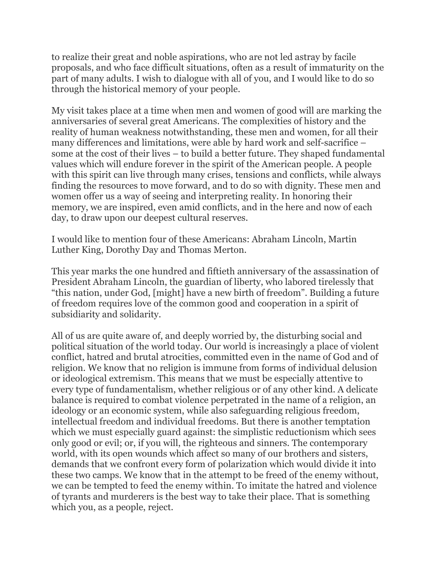to realize their great and noble aspirations, who are not led astray by facile proposals, and who face difficult situations, often as a result of immaturity on the part of many adults. I wish to dialogue with all of you, and I would like to do so through the historical memory of your people.

My visit takes place at a time when men and women of good will are marking the anniversaries of several great Americans. The complexities of history and the reality of human weakness notwithstanding, these men and women, for all their many differences and limitations, were able by hard work and self-sacrifice – some at the cost of their lives – to build a better future. They shaped fundamental values which will endure forever in the spirit of the American people. A people with this spirit can live through many crises, tensions and conflicts, while always finding the resources to move forward, and to do so with dignity. These men and women offer us a way of seeing and interpreting reality. In honoring their memory, we are inspired, even amid conflicts, and in the here and now of each day, to draw upon our deepest cultural reserves.

I would like to mention four of these Americans: Abraham Lincoln, Martin Luther King, Dorothy Day and Thomas Merton.

This year marks the one hundred and fiftieth anniversary of the assassination of President Abraham Lincoln, the guardian of liberty, who labored tirelessly that "this nation, under God, [might] have a new birth of freedom". Building a future of freedom requires love of the common good and cooperation in a spirit of subsidiarity and solidarity.

All of us are quite aware of, and deeply worried by, the disturbing social and political situation of the world today. Our world is increasingly a place of violent conflict, hatred and brutal atrocities, committed even in the name of God and of religion. We know that no religion is immune from forms of individual delusion or ideological extremism. This means that we must be especially attentive to every type of fundamentalism, whether religious or of any other kind. A delicate balance is required to combat violence perpetrated in the name of a religion, an ideology or an economic system, while also safeguarding religious freedom, intellectual freedom and individual freedoms. But there is another temptation which we must especially guard against: the simplistic reductionism which sees only good or evil; or, if you will, the righteous and sinners. The contemporary world, with its open wounds which affect so many of our brothers and sisters, demands that we confront every form of polarization which would divide it into these two camps. We know that in the attempt to be freed of the enemy without, we can be tempted to feed the enemy within. To imitate the hatred and violence of tyrants and murderers is the best way to take their place. That is something which you, as a people, reject.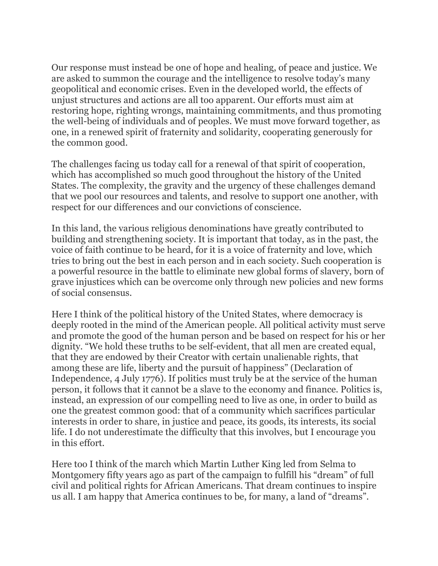Our response must instead be one of hope and healing, of peace and justice. We are asked to summon the courage and the intelligence to resolve today's many geopolitical and economic crises. Even in the developed world, the effects of unjust structures and actions are all too apparent. Our efforts must aim at restoring hope, righting wrongs, maintaining commitments, and thus promoting the well-being of individuals and of peoples. We must move forward together, as one, in a renewed spirit of fraternity and solidarity, cooperating generously for the common good.

The challenges facing us today call for a renewal of that spirit of cooperation, which has accomplished so much good throughout the history of the United States. The complexity, the gravity and the urgency of these challenges demand that we pool our resources and talents, and resolve to support one another, with respect for our differences and our convictions of conscience.

In this land, the various religious denominations have greatly contributed to building and strengthening society. It is important that today, as in the past, the voice of faith continue to be heard, for it is a voice of fraternity and love, which tries to bring out the best in each person and in each society. Such cooperation is a powerful resource in the battle to eliminate new global forms of slavery, born of grave injustices which can be overcome only through new policies and new forms of social consensus.

Here I think of the political history of the United States, where democracy is deeply rooted in the mind of the American people. All political activity must serve and promote the good of the human person and be based on respect for his or her dignity. "We hold these truths to be self-evident, that all men are created equal, that they are endowed by their Creator with certain unalienable rights, that among these are life, liberty and the pursuit of happiness" (Declaration of Independence, 4 July 1776). If politics must truly be at the service of the human person, it follows that it cannot be a slave to the economy and finance. Politics is, instead, an expression of our compelling need to live as one, in order to build as one the greatest common good: that of a community which sacrifices particular interests in order to share, in justice and peace, its goods, its interests, its social life. I do not underestimate the difficulty that this involves, but I encourage you in this effort.

Here too I think of the march which Martin Luther King led from Selma to Montgomery fifty years ago as part of the campaign to fulfill his "dream" of full civil and political rights for African Americans. That dream continues to inspire us all. I am happy that America continues to be, for many, a land of "dreams".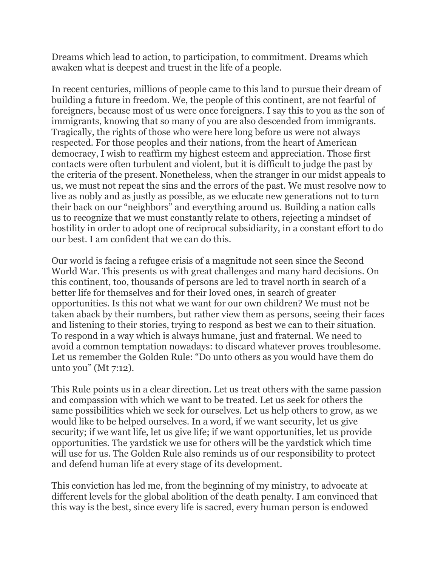Dreams which lead to action, to participation, to commitment. Dreams which awaken what is deepest and truest in the life of a people.

In recent centuries, millions of people came to this land to pursue their dream of building a future in freedom. We, the people of this continent, are not fearful of foreigners, because most of us were once foreigners. I say this to you as the son of immigrants, knowing that so many of you are also descended from immigrants. Tragically, the rights of those who were here long before us were not always respected. For those peoples and their nations, from the heart of American democracy, I wish to reaffirm my highest esteem and appreciation. Those first contacts were often turbulent and violent, but it is difficult to judge the past by the criteria of the present. Nonetheless, when the stranger in our midst appeals to us, we must not repeat the sins and the errors of the past. We must resolve now to live as nobly and as justly as possible, as we educate new generations not to turn their back on our "neighbors" and everything around us. Building a nation calls us to recognize that we must constantly relate to others, rejecting a mindset of hostility in order to adopt one of reciprocal subsidiarity, in a constant effort to do our best. I am confident that we can do this.

Our world is facing a refugee crisis of a magnitude not seen since the Second World War. This presents us with great challenges and many hard decisions. On this continent, too, thousands of persons are led to travel north in search of a better life for themselves and for their loved ones, in search of greater opportunities. Is this not what we want for our own children? We must not be taken aback by their numbers, but rather view them as persons, seeing their faces and listening to their stories, trying to respond as best we can to their situation. To respond in a way which is always humane, just and fraternal. We need to avoid a common temptation nowadays: to discard whatever proves troublesome. Let us remember the Golden Rule: "Do unto others as you would have them do unto you" (Mt 7:12).

This Rule points us in a clear direction. Let us treat others with the same passion and compassion with which we want to be treated. Let us seek for others the same possibilities which we seek for ourselves. Let us help others to grow, as we would like to be helped ourselves. In a word, if we want security, let us give security; if we want life, let us give life; if we want opportunities, let us provide opportunities. The yardstick we use for others will be the yardstick which time will use for us. The Golden Rule also reminds us of our responsibility to protect and defend human life at every stage of its development.

This conviction has led me, from the beginning of my ministry, to advocate at different levels for the global abolition of the death penalty. I am convinced that this way is the best, since every life is sacred, every human person is endowed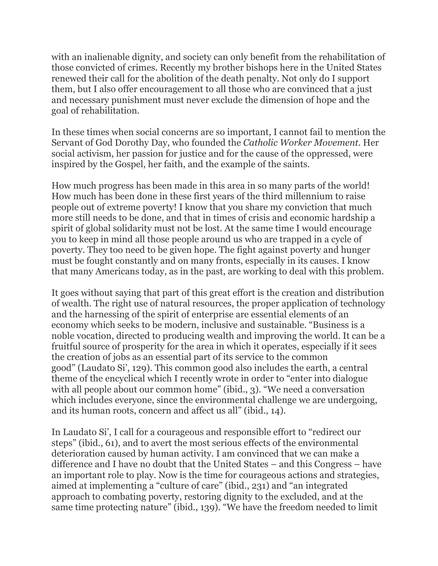with an inalienable dignity, and society can only benefit from the rehabilitation of those convicted of crimes. Recently my brother bishops here in the United States renewed their call for the abolition of the death penalty. Not only do I support them, but I also offer encouragement to all those who are convinced that a just and necessary punishment must never exclude the dimension of hope and the goal of rehabilitation.

In these times when social concerns are so important, I cannot fail to mention the Servant of God Dorothy Day, who founded the *Catholic Worker Movement.* Her social activism, her passion for justice and for the cause of the oppressed, were inspired by the Gospel, her faith, and the example of the saints.

How much progress has been made in this area in so many parts of the world! How much has been done in these first years of the third millennium to raise people out of extreme poverty! I know that you share my conviction that much more still needs to be done, and that in times of crisis and economic hardship a spirit of global solidarity must not be lost. At the same time I would encourage you to keep in mind all those people around us who are trapped in a cycle of poverty. They too need to be given hope. The fight against poverty and hunger must be fought constantly and on many fronts, especially in its causes. I know that many Americans today, as in the past, are working to deal with this problem.

It goes without saying that part of this great effort is the creation and distribution of wealth. The right use of natural resources, the proper application of technology and the harnessing of the spirit of enterprise are essential elements of an economy which seeks to be modern, inclusive and sustainable. "Business is a noble vocation, directed to producing wealth and improving the world. It can be a fruitful source of prosperity for the area in which it operates, especially if it sees the creation of jobs as an essential part of its service to the common good" (Laudato Si', 129). This common good also includes the earth, a central theme of the encyclical which I recently wrote in order to "enter into dialogue with all people about our common home" (ibid., 3). "We need a conversation which includes everyone, since the environmental challenge we are undergoing, and its human roots, concern and affect us all" (ibid., 14).

In Laudato Si', I call for a courageous and responsible effort to "redirect our steps" (ibid., 61), and to avert the most serious effects of the environmental deterioration caused by human activity. I am convinced that we can make a difference and I have no doubt that the United States – and this Congress – have an important role to play. Now is the time for courageous actions and strategies, aimed at implementing a "culture of care" (ibid., 231) and "an integrated approach to combating poverty, restoring dignity to the excluded, and at the same time protecting nature" (ibid., 139). "We have the freedom needed to limit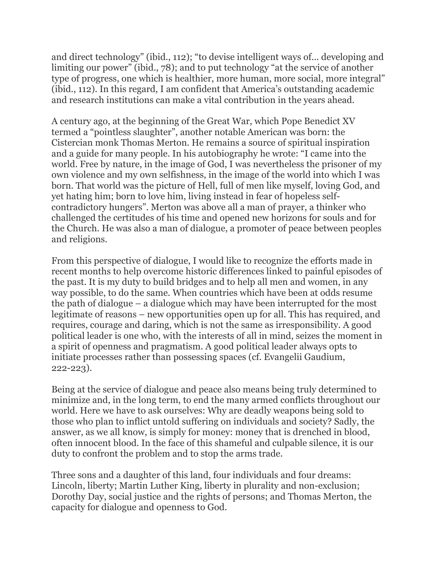and direct technology" (ibid., 112); "to devise intelligent ways of... developing and limiting our power" (ibid., 78); and to put technology "at the service of another type of progress, one which is healthier, more human, more social, more integral" (ibid., 112). In this regard, I am confident that America's outstanding academic and research institutions can make a vital contribution in the years ahead.

A century ago, at the beginning of the Great War, which Pope Benedict XV termed a "pointless slaughter", another notable American was born: the Cistercian monk Thomas Merton. He remains a source of spiritual inspiration and a guide for many people. In his autobiography he wrote: "I came into the world. Free by nature, in the image of God, I was nevertheless the prisoner of my own violence and my own selfishness, in the image of the world into which I was born. That world was the picture of Hell, full of men like myself, loving God, and yet hating him; born to love him, living instead in fear of hopeless selfcontradictory hungers". Merton was above all a man of prayer, a thinker who challenged the certitudes of his time and opened new horizons for souls and for the Church. He was also a man of dialogue, a promoter of peace between peoples and religions.

From this perspective of dialogue, I would like to recognize the efforts made in recent months to help overcome historic differences linked to painful episodes of the past. It is my duty to build bridges and to help all men and women, in any way possible, to do the same. When countries which have been at odds resume the path of dialogue – a dialogue which may have been interrupted for the most legitimate of reasons – new opportunities open up for all. This has required, and requires, courage and daring, which is not the same as irresponsibility. A good political leader is one who, with the interests of all in mind, seizes the moment in a spirit of openness and pragmatism. A good political leader always opts to initiate processes rather than possessing spaces (cf. Evangelii Gaudium, 222-223).

Being at the service of dialogue and peace also means being truly determined to minimize and, in the long term, to end the many armed conflicts throughout our world. Here we have to ask ourselves: Why are deadly weapons being sold to those who plan to inflict untold suffering on individuals and society? Sadly, the answer, as we all know, is simply for money: money that is drenched in blood, often innocent blood. In the face of this shameful and culpable silence, it is our duty to confront the problem and to stop the arms trade.

Three sons and a daughter of this land, four individuals and four dreams: Lincoln, liberty; Martin Luther King, liberty in plurality and non-exclusion; Dorothy Day, social justice and the rights of persons; and Thomas Merton, the capacity for dialogue and openness to God.